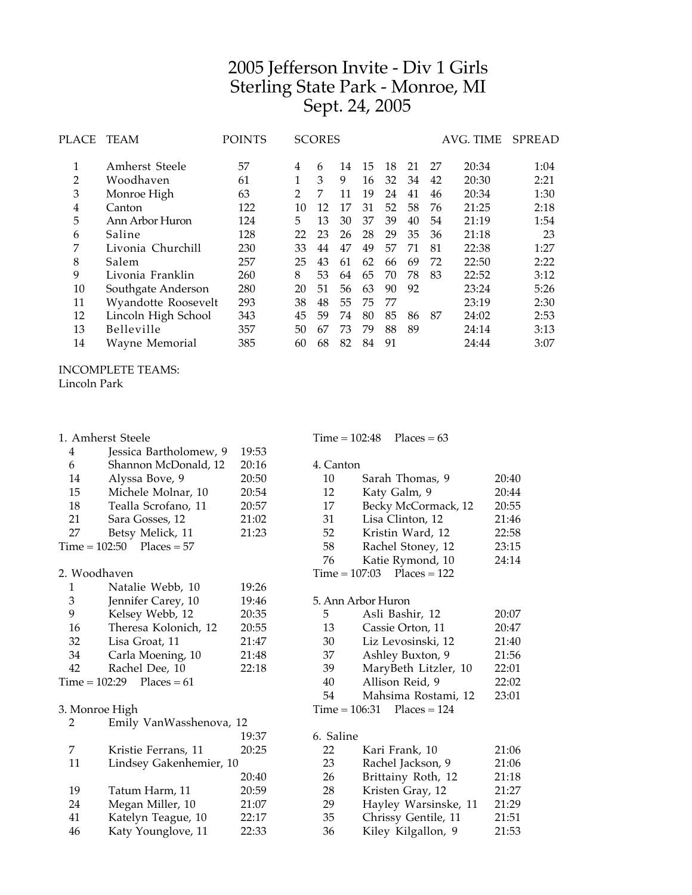# Jefferson Invite - Div 1 Girls Sterling State Park - Monroe, MI Sept. 24, 2005

| PLACE | <b>TEAM</b>         | <b>POINTS</b> |                | <b>SCORES</b> |    |    |    |    |    | AVG. TIME | <b>SPREAD</b> |
|-------|---------------------|---------------|----------------|---------------|----|----|----|----|----|-----------|---------------|
| 1     | Amherst Steele      | 57            | 4              | 6             | 14 | 15 | 18 | 21 | 27 | 20:34     | 1:04          |
| 2     | Woodhaven           | 61            | 1              | 3             | 9  | 16 | 32 | 34 | 42 | 20:30     | 2:21          |
| 3     | Monroe High         | 63            | $\overline{2}$ | 7             | 11 | 19 | 24 | 41 | 46 | 20:34     | 1:30          |
| 4     | Canton              | 122           | 10             | 12            | 17 | 31 | 52 | 58 | 76 | 21:25     | 2:18          |
| 5     | Ann Arbor Huron     | 124           | 5              | 13            | 30 | 37 | 39 | 40 | 54 | 21:19     | 1:54          |
| 6     | Saline              | 128           | 22             | 23            | 26 | 28 | 29 | 35 | 36 | 21:18     | 23            |
| 7     | Livonia Churchill   | 230           | 33             | 44            | 47 | 49 | 57 | 71 | 81 | 22:38     | 1:27          |
| 8     | Salem               | 257           | 25             | 43            | 61 | 62 | 66 | 69 | 72 | 22:50     | 2:22          |
| 9     | Livonia Franklin    | 260           | 8              | 53            | 64 | 65 | 70 | 78 | 83 | 22:52     | 3:12          |
| 10    | Southgate Anderson  | 280           | 20             | 51            | 56 | 63 | 90 | 92 |    | 23:24     | 5:26          |
| 11    | Wyandotte Roosevelt | 293           | 38             | 48            | 55 | 75 | 77 |    |    | 23:19     | 2:30          |
| 12    | Lincoln High School | 343           | 45             | 59            | 74 | 80 | 85 | 86 | 87 | 24:02     | 2:53          |
| 13    | Belleville          | 357           | 50             | 67            | 73 | 79 | 88 | 89 |    | 24:14     | 3:13          |
| 14    | Wayne Memorial      | 385           | 60             | 68            | 82 | 84 | 91 |    |    | 24:44     | 3:07          |
|       |                     |               |                |               |    |    |    |    |    |           |               |

INCOMPLETE TEAMS:

Lincoln Park

|                               | 1. Amherst Steele      |       |  |  |
|-------------------------------|------------------------|-------|--|--|
| 4                             | Jessica Bartholomew, 9 | 19:53 |  |  |
| 6                             | Shannon McDonald, 12   | 20:16 |  |  |
| 14                            | Alyssa Bove, 9         | 20:50 |  |  |
| 15                            | Michele Molnar, 10     | 20:54 |  |  |
| 18                            | Tealla Scrofano, 11    | 20:57 |  |  |
| 21                            | Sara Gosses, 12        | 21:02 |  |  |
| 27                            | Betsy Melick, 11       | 21:23 |  |  |
| $Time = 102:50$ $Places = 57$ |                        |       |  |  |
|                               |                        |       |  |  |

## 2. Woodhaven

| 1  | Natalie Webb, 10              | 19:26 |
|----|-------------------------------|-------|
| 3  | Jennifer Carey, 10            | 19:46 |
| 9  | Kelsey Webb, 12               | 20:35 |
| 16 | Theresa Kolonich, 12          | 20:55 |
| 32 | Lisa Groat, 11                | 21:47 |
| 34 | Carla Moening, 10             | 21:48 |
| 42 | Rachel Dee, 10                | 22:18 |
|    | Time = $102:29$ Places = $61$ |       |

# 3. Monroe High

|    | . Monroe High           |       |
|----|-------------------------|-------|
| 2  | Emily VanWasshenova, 12 |       |
|    |                         | 19:37 |
| 7  | Kristie Ferrans, 11     | 20:25 |
| 11 | Lindsey Gakenhemier, 10 |       |
|    |                         | 20:40 |
| 19 | Tatum Harm, 11          | 20:59 |
| 24 | Megan Miller, 10        | 21:07 |
| 41 | Katelyn Teague, 10      | 22:17 |
| 46 | Katy Younglove, 11      | 22:33 |
|    |                         |       |

Time =  $102:48$  Places =  $63$ 

| 4. Canton |  |
|-----------|--|
|           |  |

| 7. Cantoni |                              |       |
|------------|------------------------------|-------|
| 10         | Sarah Thomas, 9              | 20:40 |
| 12         | Katy Galm, 9                 | 20:44 |
| 17         | Becky McCormack, 12          | 20:55 |
| 31         | Lisa Clinton, 12             | 21:46 |
| 52         | Kristin Ward, 12             | 22:58 |
| 58         | Rachel Stoney, 12            | 23:15 |
| 76         | Katie Rymond, 10             | 24:14 |
|            | $Time = 107:03$ Places = 122 |       |
|            |                              |       |

#### 5. Ann Arbor Huron

| 5. | Asli Bashir, 12              | 20:07 |
|----|------------------------------|-------|
| 13 | Cassie Orton, 11             | 20:47 |
| 30 | Liz Levosinski, 12           | 21:40 |
| 37 | Ashley Buxton, 9             | 21:56 |
| 39 | MaryBeth Litzler, 10         | 22:01 |
| 40 | Allison Reid, 9              | 22:02 |
| 54 | Mahsima Rostami, 12          | 23:01 |
|    | $Time = 106:31$ Places = 124 |       |
|    |                              |       |

### 6. Saline

| 22 | Kari Frank, 10       | 21:06 |
|----|----------------------|-------|
| 23 | Rachel Jackson, 9    | 21:06 |
| 26 | Brittainy Roth, 12   | 21:18 |
| 28 | Kristen Gray, 12     | 21:27 |
| 29 | Hayley Warsinske, 11 | 21:29 |
| 35 | Chrissy Gentile, 11  | 21:51 |
| 36 | Kiley Kilgallon, 9   | 21:53 |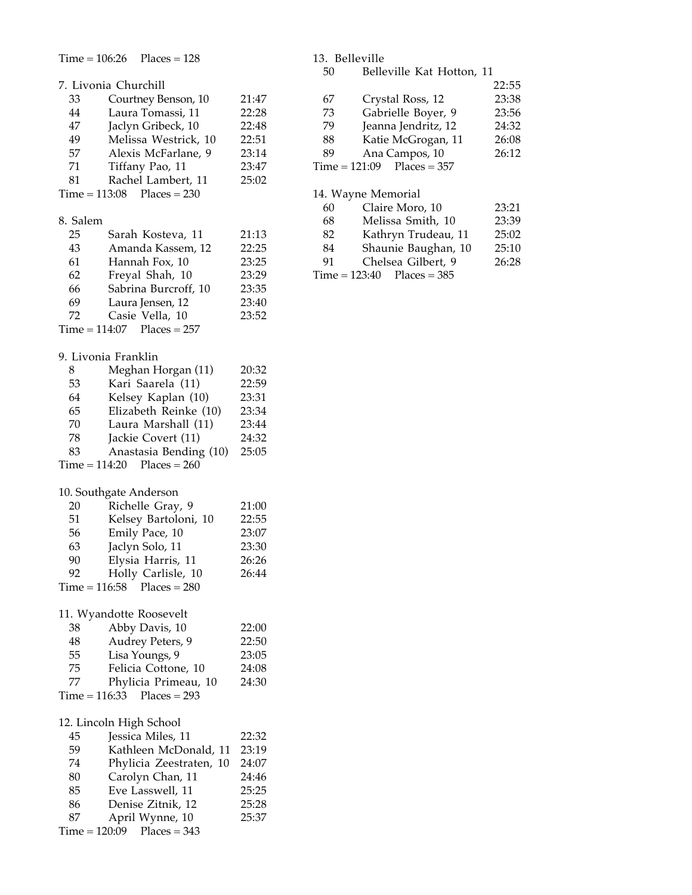### $Time = 106.26$  Places = 128

|                 | $1 \text{ line} = 100.20$<br>$r \cdot \text{I} \cdot \text{I} \cdot \text{I} \cdot \text{I} \cdot \text{I} \cdot \text{I} \cdot \text{I} \cdot \text{I} \cdot \text{I} \cdot \text{I} \cdot \text{I} \cdot \text{I} \cdot \text{I} \cdot \text{I} \cdot \text{I} \cdot \text{I} \cdot \text{I} \cdot \text{I} \cdot \text{I} \cdot \text{I} \cdot \text{I} \cdot \text{I} \cdot \text{I} \cdot \text{I} \cdot \text{I} \cdot \text{I} \cdot \text{I} \cdot \text{I} \cdot \text{I} \cdot \text{I} \cdot \text{I} \cdot$ |                | 19. DEI    |
|-----------------|-------------------------------------------------------------------------------------------------------------------------------------------------------------------------------------------------------------------------------------------------------------------------------------------------------------------------------------------------------------------------------------------------------------------------------------------------------------------------------------------------------------------------|----------------|------------|
|                 | 7. Livonia Churchill                                                                                                                                                                                                                                                                                                                                                                                                                                                                                                    |                | 50         |
| 33              | Courtney Benson, 10                                                                                                                                                                                                                                                                                                                                                                                                                                                                                                     | 21:47          | 67         |
| 44              | Laura Tomassi, 11                                                                                                                                                                                                                                                                                                                                                                                                                                                                                                       | 22:28          | 73         |
| 47              | Jaclyn Gribeck, 10                                                                                                                                                                                                                                                                                                                                                                                                                                                                                                      |                | 79         |
| 49              |                                                                                                                                                                                                                                                                                                                                                                                                                                                                                                                         | 22:48<br>22:51 | 88         |
|                 | Melissa Westrick, 10                                                                                                                                                                                                                                                                                                                                                                                                                                                                                                    |                | 89         |
| 57              | Alexis McFarlane, 9                                                                                                                                                                                                                                                                                                                                                                                                                                                                                                     | 23:14          |            |
| 71              | Tiffany Pao, 11                                                                                                                                                                                                                                                                                                                                                                                                                                                                                                         | 23:47          | $Time = 1$ |
| 81              | Rachel Lambert, 11                                                                                                                                                                                                                                                                                                                                                                                                                                                                                                      | 25:02          |            |
| $Time = 113:08$ | $Places = 230$                                                                                                                                                                                                                                                                                                                                                                                                                                                                                                          |                | 14. Way    |
|                 |                                                                                                                                                                                                                                                                                                                                                                                                                                                                                                                         |                | 60         |
| 8. Salem        |                                                                                                                                                                                                                                                                                                                                                                                                                                                                                                                         |                | 68         |
| 25              | Sarah Kosteva, 11                                                                                                                                                                                                                                                                                                                                                                                                                                                                                                       | 21:13          | 82         |
| 43              | Amanda Kassem, 12                                                                                                                                                                                                                                                                                                                                                                                                                                                                                                       | 22:25          | 84         |
| 61              | Hannah Fox, 10                                                                                                                                                                                                                                                                                                                                                                                                                                                                                                          | 23:25          | 91         |
| 62              | Freyal Shah, 10                                                                                                                                                                                                                                                                                                                                                                                                                                                                                                         | 23:29          | $Time = 1$ |
| 66              | Sabrina Burcroff, 10                                                                                                                                                                                                                                                                                                                                                                                                                                                                                                    | 23:35          |            |
| 69              | Laura Jensen, 12                                                                                                                                                                                                                                                                                                                                                                                                                                                                                                        | 23:40          |            |
| 72              | Casie Vella, 10                                                                                                                                                                                                                                                                                                                                                                                                                                                                                                         | 23:52          |            |
|                 | $Places = 257$<br>Time = 114:07                                                                                                                                                                                                                                                                                                                                                                                                                                                                                         |                |            |
|                 |                                                                                                                                                                                                                                                                                                                                                                                                                                                                                                                         |                |            |
|                 | 9. Livonia Franklin                                                                                                                                                                                                                                                                                                                                                                                                                                                                                                     |                |            |
| 8               | Meghan Horgan (11)                                                                                                                                                                                                                                                                                                                                                                                                                                                                                                      | 20:32          |            |
| 53              | Kari Saarela (11)                                                                                                                                                                                                                                                                                                                                                                                                                                                                                                       | 22:59          |            |
| 64              | Kelsey Kaplan (10)                                                                                                                                                                                                                                                                                                                                                                                                                                                                                                      | 23:31          |            |
| 65              | Elizabeth Reinke (10)                                                                                                                                                                                                                                                                                                                                                                                                                                                                                                   | 23:34          |            |
| $70\,$          | Laura Marshall (11)                                                                                                                                                                                                                                                                                                                                                                                                                                                                                                     | 23:44          |            |
| 78              | Jackie Covert (11)                                                                                                                                                                                                                                                                                                                                                                                                                                                                                                      | 24:32          |            |
| 83              | Anastasia Bending (10)                                                                                                                                                                                                                                                                                                                                                                                                                                                                                                  | 25:05          |            |
| $Time = 114:20$ | $Places = 260$                                                                                                                                                                                                                                                                                                                                                                                                                                                                                                          |                |            |
|                 | 10. Southgate Anderson                                                                                                                                                                                                                                                                                                                                                                                                                                                                                                  |                |            |
| 20              | Richelle Gray, 9                                                                                                                                                                                                                                                                                                                                                                                                                                                                                                        | 21:00          |            |
| 51              | Kelsey Bartoloni, 10                                                                                                                                                                                                                                                                                                                                                                                                                                                                                                    | 22:55          |            |
| 56              | Emily Pace, 10                                                                                                                                                                                                                                                                                                                                                                                                                                                                                                          | 23:07          |            |
| 63              | Jaclyn Solo, 11                                                                                                                                                                                                                                                                                                                                                                                                                                                                                                         | 23:30          |            |
| 90              | Elysia Harris, 11                                                                                                                                                                                                                                                                                                                                                                                                                                                                                                       | 26:26          |            |
| 92              |                                                                                                                                                                                                                                                                                                                                                                                                                                                                                                                         | 26:44          |            |
| $Time = 116:58$ | Holly Carlisle, 10<br>$Places = 280$                                                                                                                                                                                                                                                                                                                                                                                                                                                                                    |                |            |
|                 |                                                                                                                                                                                                                                                                                                                                                                                                                                                                                                                         |                |            |
|                 | 11. Wyandotte Roosevelt                                                                                                                                                                                                                                                                                                                                                                                                                                                                                                 |                |            |
| 38              | Abby Davis, 10                                                                                                                                                                                                                                                                                                                                                                                                                                                                                                          | 22:00          |            |
| 48              | Audrey Peters, 9                                                                                                                                                                                                                                                                                                                                                                                                                                                                                                        | 22:50          |            |
| 55              | Lisa Youngs, 9                                                                                                                                                                                                                                                                                                                                                                                                                                                                                                          | 23:05          |            |
| 75              | Felicia Cottone, 10                                                                                                                                                                                                                                                                                                                                                                                                                                                                                                     | 24:08          |            |
| 77              | Phylicia Primeau, 10                                                                                                                                                                                                                                                                                                                                                                                                                                                                                                    | 24:30          |            |
| $Time = 116:33$ | $Places = 293$                                                                                                                                                                                                                                                                                                                                                                                                                                                                                                          |                |            |
|                 |                                                                                                                                                                                                                                                                                                                                                                                                                                                                                                                         |                |            |
|                 | 12. Lincoln High School                                                                                                                                                                                                                                                                                                                                                                                                                                                                                                 |                |            |
| 45              | Jessica Miles, 11                                                                                                                                                                                                                                                                                                                                                                                                                                                                                                       | 22:32          |            |
| 59              | Kathleen McDonald, 11                                                                                                                                                                                                                                                                                                                                                                                                                                                                                                   | 23:19          |            |
| 74              | Phylicia Zeestraten, 10                                                                                                                                                                                                                                                                                                                                                                                                                                                                                                 | 24:07          |            |

 Carolyn Chan, 11 24:46 Eve Lasswell, 11 25:25 86 Denise Zitnik, 12 25:28 April Wynne, 10 25:37

Time = 120:09 Places = 343

|                              | 13. Belleville            |       |  |  |  |
|------------------------------|---------------------------|-------|--|--|--|
| 50                           | Belleville Kat Hotton, 11 |       |  |  |  |
|                              |                           | 22:55 |  |  |  |
| 67                           | Crystal Ross, 12          | 23:38 |  |  |  |
| 73                           | Gabrielle Boyer, 9        | 23:56 |  |  |  |
| 79                           | Jeanna Jendritz, 12       | 24:32 |  |  |  |
| 88                           | Katie McGrogan, 11        | 26:08 |  |  |  |
| 89                           | Ana Campos, 10            | 26:12 |  |  |  |
| $Time = 121:09$ Places = 357 |                           |       |  |  |  |
|                              |                           |       |  |  |  |
| 14. Wayne Memorial           |                           |       |  |  |  |
| 60                           | Claire Moro, 10           | 23.21 |  |  |  |

| 68 | Melissa Smith, 10              | 23:39 |
|----|--------------------------------|-------|
| 82 | Kathryn Trudeau, 11            | 25:02 |
| 84 | Shaunie Baughan, 10            | 25:10 |
| 91 | Chelsea Gilbert, 9             | 26:28 |
|    | $Time = 123:40$ $Places = 385$ |       |